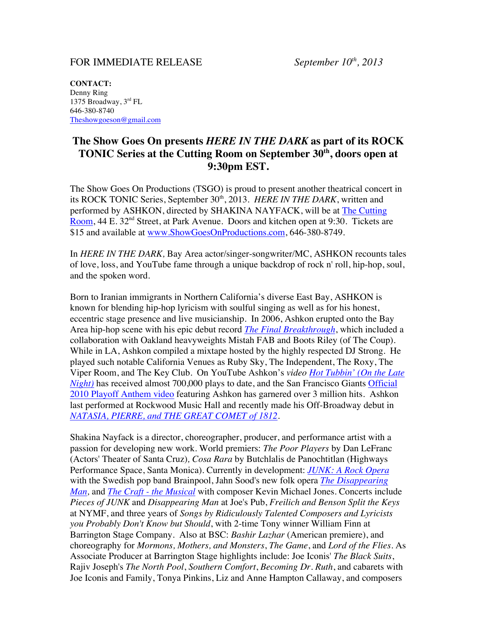## FOR IMMEDIATE RELEASE *September 10th, 2013*

**CONTACT:** Denny Ring 1375 Broadway, 3rd FL 646-380-8740 Theshowgoeson@gmail.com

## **The Show Goes On presents** *HERE IN THE DARK* **as part of its ROCK TONIC Series at the Cutting Room on September 30th, doors open at 9:30pm EST.**

The Show Goes On Productions (TSGO) is proud to present another theatrical concert in its ROCK TONIC Series, September 30<sup>th</sup>, 2013. *HERE IN THE DARK*, written and performed by ASHKON, directed by SHAKINA NAYFACK, will be at The Cutting Room, 44 E. 32<sup>nd</sup> Street, at Park Avenue. Doors and kitchen open at 9:30. Tickets are \$15 and available at www.ShowGoesOnProductions.com, 646-380-8749.

In *HERE IN THE DARK,* Bay Area actor/singer-songwriter/MC, ASHKON recounts tales of love, loss, and YouTube fame through a unique backdrop of rock n' roll, hip-hop, soul, and the spoken word.

Born to Iranian immigrants in Northern California's diverse East Bay, ASHKON is known for blending hip-hop lyricism with soulful singing as well as for his honest, eccentric stage presence and live musicianship. In 2006, Ashkon erupted onto the Bay Area hip-hop scene with his epic debut record *The Final Breakthrough*, which included a collaboration with Oakland heavyweights Mistah FAB and Boots Riley (of The Coup). While in LA, Ashkon compiled a mixtape hosted by the highly respected DJ Strong. He played such notable California Venues as Ruby Sky, The Independent, The Roxy, The Viper Room, and The Key Club. On YouTube Ashkon's *video Hot Tubbin' (On the Late Night*) has received almost 700,000 plays to date, and the San Francisco Giants Official 2010 Playoff Anthem video featuring Ashkon has garnered over 3 million hits. Ashkon last performed at Rockwood Music Hall and recently made his Off-Broadway debut in *NATASIA, PIERRE, and THE GREAT COMET of 1812*.

Shakina Nayfack is a director, choreographer, producer, and performance artist with a passion for developing new work. World premiers: *The Poor Players* by Dan LeFranc (Actors' Theater of Santa Cruz)*, Cosa Rara* by Butchlalis de Panochtitlan (Highways Performance Space, Santa Monica). Currently in development: *JUNK: A Rock Opera* with the Swedish pop band Brainpool, Jahn Sood's new folk opera *The Disappearing Man,* and *The Craft - the Musical* with composer Kevin Michael Jones. Concerts include *Pieces of JUNK* and *Disappearing Man* at Joe's Pub, *Freilich and Benson Split the Keys* at NYMF, and three years of *Songs by Ridiculously Talented Composers and Lyricists you Probably Don't Know but Should*, with 2-time Tony winner William Finn at Barrington Stage Company. Also at BSC: *Bashir Lazhar* (American premiere), and choreography for *Mormons, Mothers, and Monsters*, *The Game*, and *Lord of the Flies*. As Associate Producer at Barrington Stage highlights include: Joe Iconis' *The Black Suits*, Rajiv Joseph's *The North Pool*, *Southern Comfort*, *Becoming Dr. Ruth*, and cabarets with Joe Iconis and Family, Tonya Pinkins, Liz and Anne Hampton Callaway, and composers